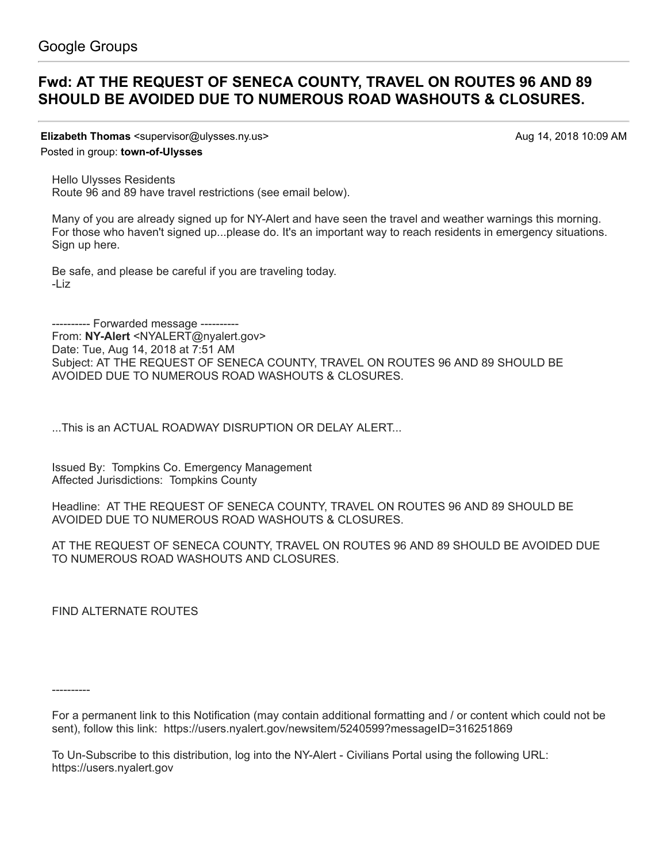## **[Fwd: AT THE REQUEST OF SENECA COUNTY, TRAVEL ON ROUTES 96 AND 89](https://groups.google.com/d/topic/town-of-ulysses/7y4V2jJNSTo) SHOULD BE AVOIDED DUE TO NUMEROUS ROAD WASHOUTS & CLOSURES.**

**Elizabeth Thomas** <supervisor@ulysses.ny.us> Aug 14, 2018 10:09 AM

Posted in group: **[town-of-Ulysses](https://groups.google.com/d/forum/town-of-ulysses)**

Hello Ulysses Residents

Route 96 and 89 have travel restrictions (see email below).

Many of you are already signed up for NY-Alert and have seen the travel and weather warnings this morning. For those who haven't signed up...please do. It's an important way to reach residents in emergency situations. Sign up [here](https://alert.ny.gov/).

Be safe, and please be careful if you are traveling today. -Liz

---------- Forwarded message ---------- From: **NY-Alert** <[NYALERT@nyalert.gov](mailto:NYALERT@nyalert.gov)> Date: Tue, Aug 14, 2018 at 7:51 AM Subject: AT THE REQUEST OF SENECA COUNTY, TRAVEL ON ROUTES 96 AND 89 SHOULD BE AVOIDED DUE TO NUMEROUS ROAD WASHOUTS & CLOSURES.

...This is an ACTUAL ROADWAY DISRUPTION OR DELAY ALERT...

Issued By: Tompkins Co. Emergency Management Affected Jurisdictions: Tompkins County

Headline: AT THE REQUEST OF SENECA COUNTY, TRAVEL ON ROUTES 96 AND 89 SHOULD BE AVOIDED DUE TO NUMEROUS ROAD WASHOUTS & CLOSURES.

AT THE REQUEST OF SENECA COUNTY, TRAVEL ON ROUTES 96 AND 89 SHOULD BE AVOIDED DUE TO NUMEROUS ROAD WASHOUTS AND CLOSURES.

FIND ALTERNATE ROUTES

----------

To Un-Subscribe to this distribution, log into the NY-Alert - Civilians Portal using the following URL: [https://users.nyalert.gov](https://users.nyalert.gov/)

For a permanent link to this Notification (may contain additional formatting and / or content which could not be sent), follow this link: <https://users.nyalert.gov/newsitem/5240599?messageID=316251869>